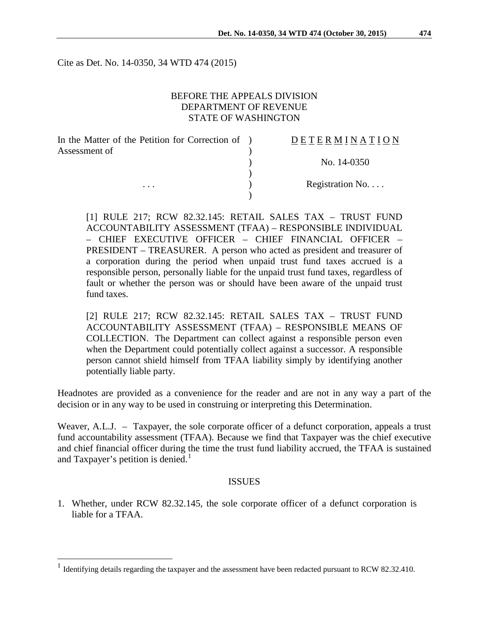Cite as Det. No. 14-0350, 34 WTD 474 (2015)

### BEFORE THE APPEALS DIVISION DEPARTMENT OF REVENUE STATE OF WASHINGTON

| In the Matter of the Petition for Correction of ) | DETERMINATION   |
|---------------------------------------------------|-----------------|
| Assessment of<br>$\cdots$                         |                 |
|                                                   | No. 14-0350     |
|                                                   |                 |
|                                                   | Registration No |
|                                                   |                 |

[1] RULE 217; RCW 82.32.145: RETAIL SALES TAX – TRUST FUND ACCOUNTABILITY ASSESSMENT (TFAA) – RESPONSIBLE INDIVIDUAL – CHIEF EXECUTIVE OFFICER – CHIEF FINANCIAL OFFICER – PRESIDENT – TREASURER. A person who acted as president and treasurer of a corporation during the period when unpaid trust fund taxes accrued is a responsible person, personally liable for the unpaid trust fund taxes, regardless of fault or whether the person was or should have been aware of the unpaid trust fund taxes.

[2] RULE 217; RCW 82.32.145: RETAIL SALES TAX – TRUST FUND ACCOUNTABILITY ASSESSMENT (TFAA) – RESPONSIBLE MEANS OF COLLECTION. The Department can collect against a responsible person even when the Department could potentially collect against a successor. A responsible person cannot shield himself from TFAA liability simply by identifying another potentially liable party.

Headnotes are provided as a convenience for the reader and are not in any way a part of the decision or in any way to be used in construing or interpreting this Determination.

Weaver, A.L.J. – Taxpayer, the sole corporate officer of a defunct corporation, appeals a trust fund accountability assessment (TFAA). Because we find that Taxpayer was the chief executive and chief financial officer during the time the trust fund liability accrued, the TFAA is sustained and Taxpayer's petition is denied.<sup>[1](#page-0-0)</sup>

### ISSUES

1. Whether, under RCW 82.32.145, the sole corporate officer of a defunct corporation is liable for a TFAA.

<span id="page-0-0"></span><sup>&</sup>lt;sup>1</sup> Identifying details regarding the taxpayer and the assessment have been redacted pursuant to RCW 82.32.410.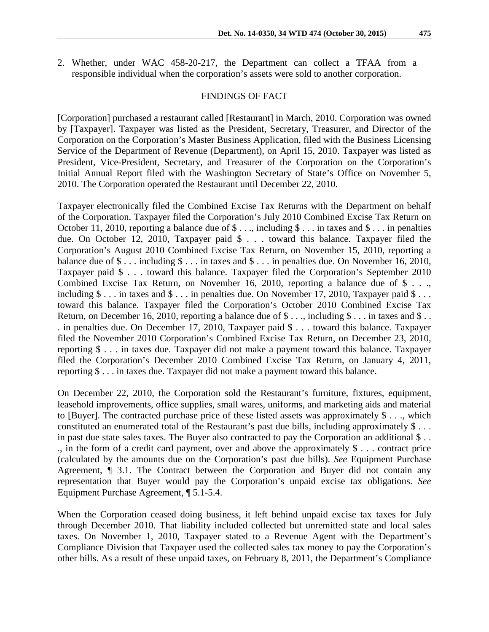2. Whether, under WAC 458-20-217, the Department can collect a TFAA from a responsible individual when the corporation's assets were sold to another corporation.

#### FINDINGS OF FACT

[Corporation] purchased a restaurant called [Restaurant] in March, 2010. Corporation was owned by [Taxpayer]. Taxpayer was listed as the President, Secretary, Treasurer, and Director of the Corporation on the Corporation's Master Business Application, filed with the Business Licensing Service of the Department of Revenue (Department), on April 15, 2010. Taxpayer was listed as President, Vice-President, Secretary, and Treasurer of the Corporation on the Corporation's Initial Annual Report filed with the Washington Secretary of State's Office on November 5, 2010. The Corporation operated the Restaurant until December 22, 2010.

Taxpayer electronically filed the Combined Excise Tax Returns with the Department on behalf of the Corporation. Taxpayer filed the Corporation's July 2010 Combined Excise Tax Return on October 11, 2010, reporting a balance due of  $\$\ldots$ , including  $\$\ldots$  in taxes and  $\$\ldots$  in penalties due. On October 12, 2010, Taxpayer paid \$ . . . toward this balance. Taxpayer filed the Corporation's August 2010 Combined Excise Tax Return, on November 15, 2010, reporting a balance due of  $\$\dots$  including  $\$\dots$  in taxes and  $\$\dots$  in penalties due. On November 16, 2010, Taxpayer paid \$ . . . toward this balance. Taxpayer filed the Corporation's September 2010 Combined Excise Tax Return, on November 16, 2010, reporting a balance due of \$ . . ., including  $\$\dots$  in taxes and  $\$\dots$  in penalties due. On November 17, 2010, Taxpayer paid  $\$\dots$ toward this balance. Taxpayer filed the Corporation's October 2010 Combined Excise Tax Return, on December 16, 2010, reporting a balance due of  $\$\dots$ , including  $\$\dots$  in taxes and  $\$\dots$ . in penalties due. On December 17, 2010, Taxpayer paid \$ . . . toward this balance. Taxpayer filed the November 2010 Corporation's Combined Excise Tax Return, on December 23, 2010, reporting \$ . . . in taxes due. Taxpayer did not make a payment toward this balance. Taxpayer filed the Corporation's December 2010 Combined Excise Tax Return, on January 4, 2011, reporting \$ . . . in taxes due. Taxpayer did not make a payment toward this balance.

On December 22, 2010, the Corporation sold the Restaurant's furniture, fixtures, equipment, leasehold improvements, office supplies, small wares, uniforms, and marketing aids and material to [Buyer]. The contracted purchase price of these listed assets was approximately \$ . . ., which constituted an enumerated total of the Restaurant's past due bills, including approximately \$ . . . in past due state sales taxes. The Buyer also contracted to pay the Corporation an additional \$ . . ., in the form of a credit card payment, over and above the approximately \$ . . . contract price (calculated by the amounts due on the Corporation's past due bills). *See* Equipment Purchase Agreement, ¶ 3.1. The Contract between the Corporation and Buyer did not contain any representation that Buyer would pay the Corporation's unpaid excise tax obligations. *See* Equipment Purchase Agreement, ¶ 5.1-5.4.

When the Corporation ceased doing business, it left behind unpaid excise tax taxes for July through December 2010. That liability included collected but unremitted state and local sales taxes. On November 1, 2010, Taxpayer stated to a Revenue Agent with the Department's Compliance Division that Taxpayer used the collected sales tax money to pay the Corporation's other bills. As a result of these unpaid taxes, on February 8, 2011, the Department's Compliance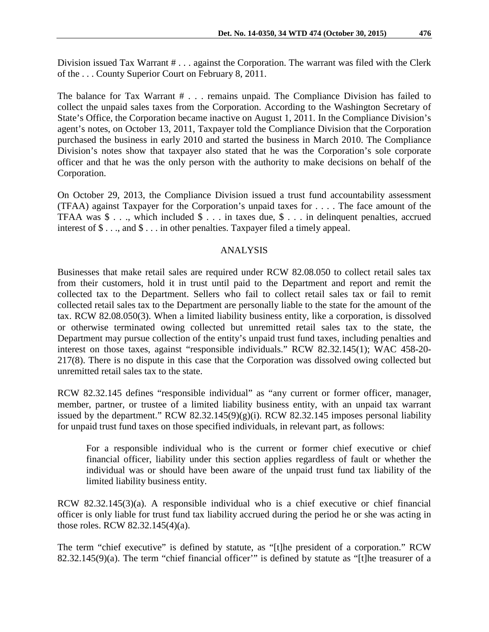The balance for Tax Warrant # . . . remains unpaid. The Compliance Division has failed to collect the unpaid sales taxes from the Corporation. According to the Washington Secretary of State's Office, the Corporation became inactive on August 1, 2011. In the Compliance Division's agent's notes, on October 13, 2011, Taxpayer told the Compliance Division that the Corporation purchased the business in early 2010 and started the business in March 2010. The Compliance Division's notes show that taxpayer also stated that he was the Corporation's sole corporate officer and that he was the only person with the authority to make decisions on behalf of the Corporation.

On October 29, 2013, the Compliance Division issued a trust fund accountability assessment (TFAA) against Taxpayer for the Corporation's unpaid taxes for . . . . The face amount of the TFAA was \$ . . ., which included \$ . . . in taxes due, \$ . . . in delinquent penalties, accrued interest of \$ . . ., and \$ . . . in other penalties. Taxpayer filed a timely appeal.

# ANALYSIS

Businesses that make retail sales are required under RCW 82.08.050 to collect retail sales tax from their customers, hold it in trust until paid to the Department and report and remit the collected tax to the Department. Sellers who fail to collect retail sales tax or fail to remit collected retail sales tax to the Department are personally liable to the state for the amount of the tax. RCW 82.08.050(3). When a limited liability business entity, like a corporation, is dissolved or otherwise terminated owing collected but unremitted retail sales tax to the state, the Department may pursue collection of the entity's unpaid trust fund taxes, including penalties and interest on those taxes, against "responsible individuals." RCW 82.32.145(1); WAC 458-20- 217(8). There is no dispute in this case that the Corporation was dissolved owing collected but unremitted retail sales tax to the state.

RCW 82.32.145 defines "responsible individual" as "any current or former officer, manager, member, partner, or trustee of a limited liability business entity, with an unpaid tax warrant issued by the department." RCW  $82.32.145(9)(g)(i)$ . RCW  $82.32.145$  imposes personal liability for unpaid trust fund taxes on those specified individuals, in relevant part, as follows:

For a responsible individual who is the current or former chief executive or chief financial officer, liability under this section applies regardless of fault or whether the individual was or should have been aware of the unpaid trust fund tax liability of the limited liability business entity.

RCW 82.32.145(3)(a). A responsible individual who is a chief executive or chief financial officer is only liable for trust fund tax liability accrued during the period he or she was acting in those roles. RCW 82.32.145(4)(a).

The term "chief executive" is defined by statute, as "[t]he president of a corporation." RCW 82.32.145(9)(a). The term "chief financial officer'" is defined by statute as "[t]he treasurer of a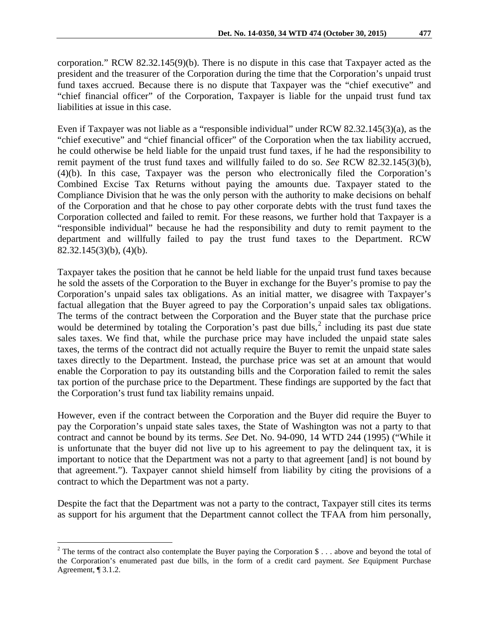corporation." RCW 82.32.145(9)(b). There is no dispute in this case that Taxpayer acted as the president and the treasurer of the Corporation during the time that the Corporation's unpaid trust fund taxes accrued. Because there is no dispute that Taxpayer was the "chief executive" and "chief financial officer" of the Corporation, Taxpayer is liable for the unpaid trust fund tax liabilities at issue in this case.

Even if Taxpayer was not liable as a "responsible individual" under RCW 82.32.145(3)(a), as the "chief executive" and "chief financial officer" of the Corporation when the tax liability accrued, he could otherwise be held liable for the unpaid trust fund taxes, if he had the responsibility to remit payment of the trust fund taxes and willfully failed to do so. *See* RCW 82.32.145(3)(b), (4)(b). In this case, Taxpayer was the person who electronically filed the Corporation's Combined Excise Tax Returns without paying the amounts due. Taxpayer stated to the Compliance Division that he was the only person with the authority to make decisions on behalf of the Corporation and that he chose to pay other corporate debts with the trust fund taxes the Corporation collected and failed to remit. For these reasons, we further hold that Taxpayer is a "responsible individual" because he had the responsibility and duty to remit payment to the department and willfully failed to pay the trust fund taxes to the Department. RCW 82.32.145(3)(b), (4)(b).

Taxpayer takes the position that he cannot be held liable for the unpaid trust fund taxes because he sold the assets of the Corporation to the Buyer in exchange for the Buyer's promise to pay the Corporation's unpaid sales tax obligations. As an initial matter, we disagree with Taxpayer's factual allegation that the Buyer agreed to pay the Corporation's unpaid sales tax obligations. The terms of the contract between the Corporation and the Buyer state that the purchase price would be determined by totaling the Corporation's past due bills, $\frac{2}{3}$  $\frac{2}{3}$  $\frac{2}{3}$  including its past due state sales taxes. We find that, while the purchase price may have included the unpaid state sales taxes, the terms of the contract did not actually require the Buyer to remit the unpaid state sales taxes directly to the Department. Instead, the purchase price was set at an amount that would enable the Corporation to pay its outstanding bills and the Corporation failed to remit the sales tax portion of the purchase price to the Department. These findings are supported by the fact that the Corporation's trust fund tax liability remains unpaid.

However, even if the contract between the Corporation and the Buyer did require the Buyer to pay the Corporation's unpaid state sales taxes, the State of Washington was not a party to that contract and cannot be bound by its terms. *See* Det. No. 94-090, 14 WTD 244 (1995) ("While it is unfortunate that the buyer did not live up to his agreement to pay the delinquent tax, it is important to notice that the Department was not a party to that agreement [and] is not bound by that agreement."). Taxpayer cannot shield himself from liability by citing the provisions of a contract to which the Department was not a party.

Despite the fact that the Department was not a party to the contract, Taxpayer still cites its terms as support for his argument that the Department cannot collect the TFAA from him personally,

<span id="page-3-0"></span><sup>&</sup>lt;sup>2</sup> The terms of the contract also contemplate the Buyer paying the Corporation \$ . . . above and beyond the total of the Corporation's enumerated past due bills, in the form of a credit card payment. *See* Equipment Purchase Agreement, ¶ 3.1.2.